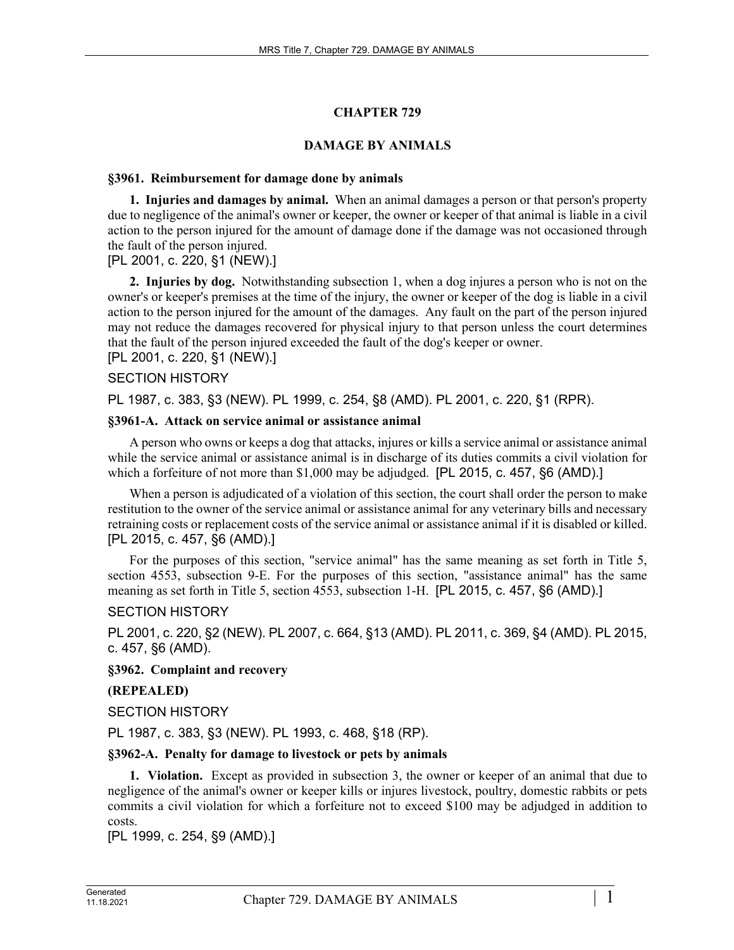# **CHAPTER 729**

## **DAMAGE BY ANIMALS**

#### **§3961. Reimbursement for damage done by animals**

**1. Injuries and damages by animal.** When an animal damages a person or that person's property due to negligence of the animal's owner or keeper, the owner or keeper of that animal is liable in a civil action to the person injured for the amount of damage done if the damage was not occasioned through the fault of the person injured.

[PL 2001, c. 220, §1 (NEW).]

**2. Injuries by dog.** Notwithstanding subsection 1, when a dog injures a person who is not on the owner's or keeper's premises at the time of the injury, the owner or keeper of the dog is liable in a civil action to the person injured for the amount of the damages. Any fault on the part of the person injured may not reduce the damages recovered for physical injury to that person unless the court determines that the fault of the person injured exceeded the fault of the dog's keeper or owner. [PL 2001, c. 220, §1 (NEW).]

#### SECTION HISTORY

PL 1987, c. 383, §3 (NEW). PL 1999, c. 254, §8 (AMD). PL 2001, c. 220, §1 (RPR).

#### **§3961-A. Attack on service animal or assistance animal**

A person who owns or keeps a dog that attacks, injures or kills a service animal or assistance animal while the service animal or assistance animal is in discharge of its duties commits a civil violation for which a forfeiture of not more than \$1,000 may be adjudged. [PL 2015, c. 457, §6 (AMD).]

When a person is adjudicated of a violation of this section, the court shall order the person to make restitution to the owner of the service animal or assistance animal for any veterinary bills and necessary retraining costs or replacement costs of the service animal or assistance animal if it is disabled or killed. [PL 2015, c. 457, §6 (AMD).]

For the purposes of this section, "service animal" has the same meaning as set forth in Title 5, section 4553, subsection 9-E. For the purposes of this section, "assistance animal" has the same meaning as set forth in Title 5, section 4553, subsection 1-H. [PL 2015, c. 457, §6 (AMD).]

#### SECTION HISTORY

PL 2001, c. 220, §2 (NEW). PL 2007, c. 664, §13 (AMD). PL 2011, c. 369, §4 (AMD). PL 2015, c. 457, §6 (AMD).

## **§3962. Complaint and recovery**

## **(REPEALED)**

SECTION HISTORY

PL 1987, c. 383, §3 (NEW). PL 1993, c. 468, §18 (RP).

## **§3962-A. Penalty for damage to livestock or pets by animals**

**1. Violation.** Except as provided in subsection 3, the owner or keeper of an animal that due to negligence of the animal's owner or keeper kills or injures livestock, poultry, domestic rabbits or pets commits a civil violation for which a forfeiture not to exceed \$100 may be adjudged in addition to costs.

[PL 1999, c. 254, §9 (AMD).]